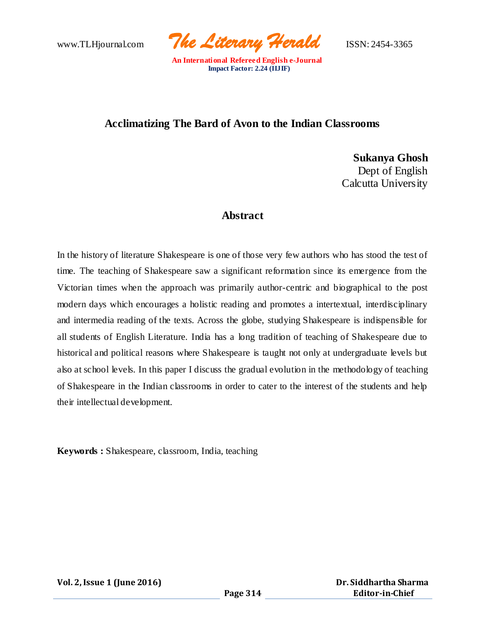www.TLHjournal.com *The Literary Herald*ISSN: 2454-3365

# **Acclimatizing The Bard of Avon to the Indian Classrooms**

**Sukanya Ghosh** Dept of English Calcutta University

### **Abstract**

In the history of literature Shakespeare is one of those very few authors who has stood the test of time. The teaching of Shakespeare saw a significant reformation since its emergence from the Victorian times when the approach was primarily author-centric and biographical to the post modern days which encourages a holistic reading and promotes a intertextual, interdisciplinary and intermedia reading of the texts. Across the globe, studying Shakespeare is indispensible for all students of English Literature. India has a long tradition of teaching of Shakespeare due to historical and political reasons where Shakespeare is taught not only at undergraduate levels but also at school levels. In this paper I discuss the gradual evolution in the methodology of teaching of Shakespeare in the Indian classrooms in order to cater to the interest of the students and help their intellectual development.

**Keywords :** Shakespeare, classroom, India, teaching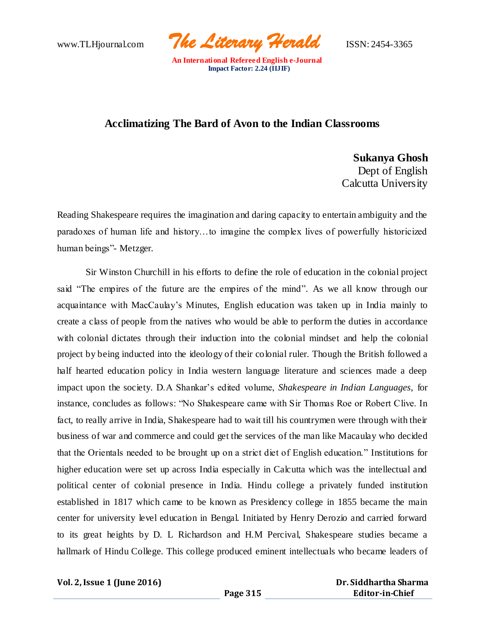www.TLHjournal.com *The Literary Herald*ISSN: 2454-3365

## **Acclimatizing The Bard of Avon to the Indian Classrooms**

**Sukanya Ghosh** Dept of English Calcutta University

Reading Shakespeare requires the imagination and daring capacity to entertain ambiguity and the paradoxes of human life and history…to imagine the complex lives of powerfully historicized human beings"- Metzger.

Sir Winston Churchill in his efforts to define the role of education in the colonial project said "The empires of the future are the empires of the mind". As we all know through our acquaintance with MacCaulay's Minutes, English education was taken up in India mainly to create a class of people from the natives who would be able to perform the duties in accordance with colonial dictates through their induction into the colonial mindset and help the colonial project by being inducted into the ideology of their colonial ruler. Though the British followed a half hearted education policy in India western language literature and sciences made a deep impact upon the society. D.A Shankar's edited volume, *Shakespeare in Indian Languages*, for instance, concludes as follows: "No Shakespeare came with Sir Thomas Roe or Robert Clive. In fact, to really arrive in India, Shakespeare had to wait till his countrymen were through with their business of war and commerce and could get the services of the man like Macaulay who decided that the Orientals needed to be brought up on a strict diet of English education." Institutions for higher education were set up across India especially in Calcutta which was the intellectual and political center of colonial presence in India. Hindu college a privately funded institution established in 1817 which came to be known as Presidency college in 1855 became the main center for university level education in Bengal. Initiated by Henry Derozio and carried forward to its great heights by D. L Richardson and H.M Percival, Shakespeare studies became a hallmark of Hindu College. This college produced eminent intellectuals who became leaders of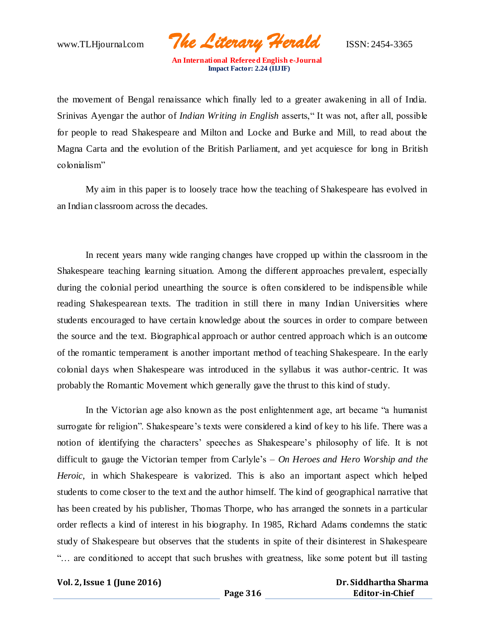www.TLHjournal.com *The Literary Herald*ISSN: 2454-3365

the movement of Bengal renaissance which finally led to a greater awakening in all of India. Srinivas Ayengar the author of *Indian Writing in English* asserts," It was not, after all, possible for people to read Shakespeare and Milton and Locke and Burke and Mill, to read about the Magna Carta and the evolution of the British Parliament, and yet acquiesce for long in British colonialism"

My aim in this paper is to loosely trace how the teaching of Shakespeare has evolved in an Indian classroom across the decades.

In recent years many wide ranging changes have cropped up within the classroom in the Shakespeare teaching learning situation. Among the different approaches prevalent, especially during the colonial period unearthing the source is often considered to be indispensible while reading Shakespearean texts. The tradition in still there in many Indian Universities where students encouraged to have certain knowledge about the sources in order to compare between the source and the text. Biographical approach or author centred approach which is an outcome of the romantic temperament is another important method of teaching Shakespeare. In the early colonial days when Shakespeare was introduced in the syllabus it was author-centric. It was probably the Romantic Movement which generally gave the thrust to this kind of study.

In the Victorian age also known as the post enlightenment age, art became "a humanist surrogate for religion". Shakespeare's texts were considered a kind of key to his life. There was a notion of identifying the characters' speeches as Shakespeare's philosophy of life. It is not difficult to gauge the Victorian temper from Carlyle's – *On Heroes and Hero Worship and the Heroic*, in which Shakespeare is valorized. This is also an important aspect which helped students to come closer to the text and the author himself. The kind of geographical narrative that has been created by his publisher, Thomas Thorpe, who has arranged the sonnets in a particular order reflects a kind of interest in his biography. In 1985, Richard Adams condemns the static study of Shakespeare but observes that the students in spite of their disinterest in Shakespeare "… are conditioned to accept that such brushes with greatness, like some potent but ill tasting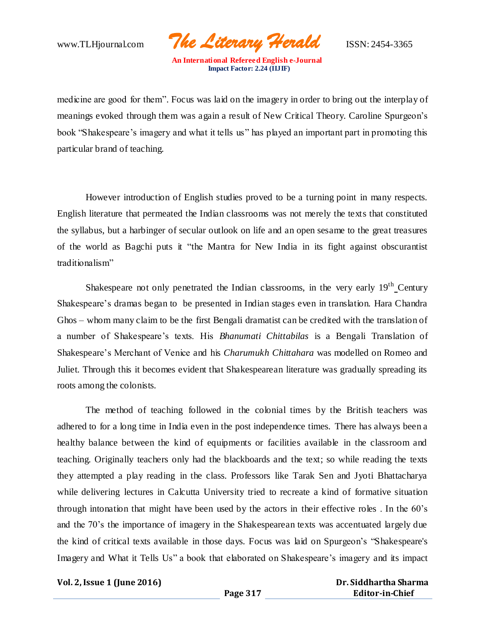www.TLHjournal.com *The Literary Herald*ISSN: 2454-3365

medicine are good for them". Focus was laid on the imagery in order to bring out the interplay of meanings evoked through them was again a result of New Critical Theory. Caroline Spurgeon's book "Shakespeare's imagery and what it tells us" has played an important part in promoting this particular brand of teaching.

However introduction of English studies proved to be a turning point in many respects. English literature that permeated the Indian classrooms was not merely the texts that constituted the syllabus, but a harbinger of secular outlook on life and an open sesame to the great treasures of the world as Bagchi puts it "the Mantra for New India in its fight against obscurantist traditionalism"

Shakespeare not only penetrated the Indian classrooms, in the very early  $19<sup>th</sup>$  Century Shakespeare's dramas began to be presented in Indian stages even in translation. Hara Chandra Ghos – whom many claim to be the first Bengali dramatist can be credited with the translation of a number of Shakespeare's texts. His *Bhanumati Chittabilas* is a Bengali Translation of Shakespeare's Merchant of Venice and his *Charumukh Chittahara* was modelled on Romeo and Juliet. Through this it becomes evident that Shakespearean literature was gradually spreading its roots among the colonists.

The method of teaching followed in the colonial times by the British teachers was adhered to for a long time in India even in the post independence times. There has always been a healthy balance between the kind of equipments or facilities available in the classroom and teaching. Originally teachers only had the blackboards and the text; so while reading the texts they attempted a play reading in the class. Professors like Tarak Sen and Jyoti Bhattacharya while delivering lectures in Calcutta University tried to recreate a kind of formative situation through intonation that might have been used by the actors in their effective roles . In the 60's and the 70's the importance of imagery in the Shakespearean texts was accentuated largely due the kind of critical texts available in those days. Focus was laid on Spurgeon's "Shakespeare's Imagery and What it Tells Us" a book that elaborated on Shakespeare's imagery and its impact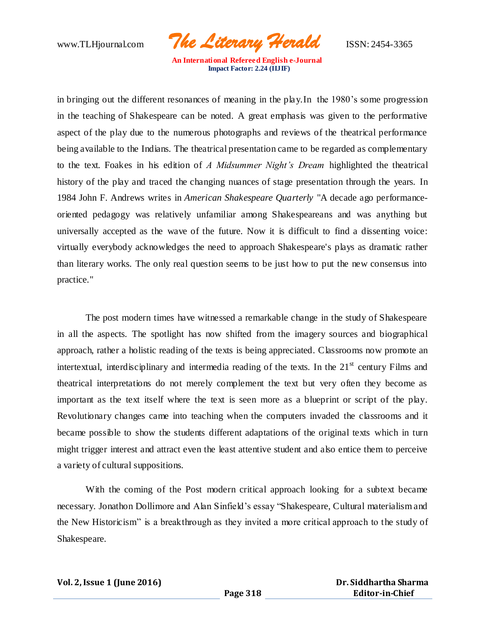www.TLHjournal.com *The Literary Herald*ISSN: 2454-3365

in bringing out the different resonances of meaning in the play.In the 1980's some progression in the teaching of Shakespeare can be noted. A great emphasis was given to the performative aspect of the play due to the numerous photographs and reviews of the theatrical performance being available to the Indians. The theatrical presentation came to be regarded as complementary to the text. Foakes in his edition of *A Midsummer Night's Dream* highlighted the theatrical history of the play and traced the changing nuances of stage presentation through the years. In 1984 John F. Andrews writes in *American Shakespeare Quarterly* "A decade ago performanceoriented pedagogy was relatively unfamiliar among Shakespeareans and was anything but universally accepted as the wave of the future. Now it is difficult to find a dissenting voice: virtually everybody acknowledges the need to approach Shakespeare's plays as dramatic rather than literary works. The only real question seems to be just how to put the new consensus into practice."

The post modern times have witnessed a remarkable change in the study of Shakespeare in all the aspects. The spotlight has now shifted from the imagery sources and biographical approach, rather a holistic reading of the texts is being appreciated. Classrooms now promote an intertextual, interdisciplinary and intermedia reading of the texts. In the  $21<sup>st</sup>$  century Films and theatrical interpretations do not merely complement the text but very often they become as important as the text itself where the text is seen more as a blueprint or script of the play. Revolutionary changes came into teaching when the computers invaded the classrooms and it became possible to show the students different adaptations of the original texts which in turn might trigger interest and attract even the least attentive student and also entice them to perceive a variety of cultural suppositions.

With the coming of the Post modern critical approach looking for a subtext became necessary. Jonathon Dollimore and Alan Sinfield's essay "Shakespeare, Cultural materialism and the New Historicism" is a breakthrough as they invited a more critical approach to the study of Shakespeare.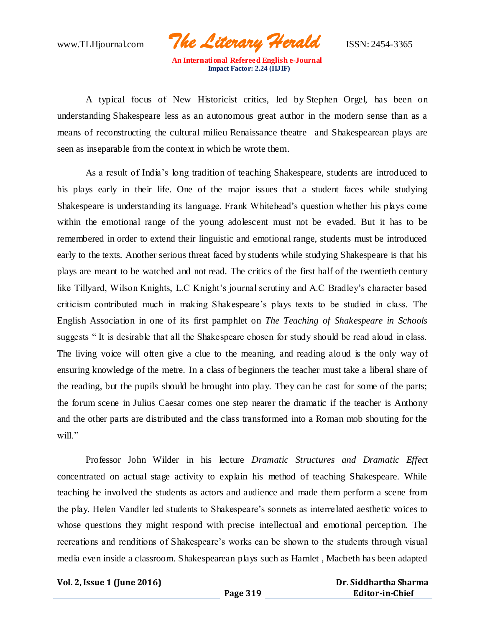www.TLHjournal.com *The Literary Herald*ISSN: 2454-3365

A typical focus of New Historicist critics, led by [Stephen Orgel,](https://en.wikipedia.org/wiki/Stephen_Orgel) has been on understanding [Shakespeare](https://en.wikipedia.org/wiki/William_Shakespeare) less as an autonomous great author in the modern sense than as a means of reconstructing the cultural milieu [Renaissance theatre](https://en.wikipedia.org/wiki/History_of_theatre#Renaissance_theatre) and Shakespearean plays are seen as inseparable from the context in which he wrote them.

As a result of India's long tradition of teaching Shakespeare, students are introduced to his plays early in their life. One of the major issues that a student faces while studying Shakespeare is understanding its language. Frank Whitehead's question whether his plays come within the emotional range of the young adolescent must not be evaded. But it has to be remembered in order to extend their linguistic and emotional range, students must be introduced early to the texts. Another serious threat faced by students while studying Shakespeare is that his plays are meant to be watched and not read. The critics of the first half of the twentieth century like Tillyard, Wilson Knights, L.C Knight's journal scrutiny and A.C Bradley's character based criticism contributed much in making Shakespeare's plays texts to be studied in class. The English Association in one of its first pamphlet on *The Teaching of Shakespeare in Schools* suggests " It is desirable that all the Shakespeare chosen for study should be read aloud in class. The living voice will often give a clue to the meaning, and reading alo ud is the only way of ensuring knowledge of the metre. In a class of beginners the teacher must take a liberal share of the reading, but the pupils should be brought into play. They can be cast for some of the parts; the forum scene in Julius Caesar comes one step nearer the dramatic if the teacher is Anthony and the other parts are distributed and the class transformed into a Roman mob shouting for the will."

Professor John Wilder in his lecture *Dramatic Structures and Dramatic Effect* concentrated on actual stage activity to explain his method of teaching Shakespeare. While teaching he involved the students as actors and audience and made them perform a scene from the play. Helen Vandler led students to Shakespeare's sonnets as interre lated aesthetic voices to whose questions they might respond with precise intellectual and emotional perception. The recreations and renditions of Shakespeare's works can be shown to the students through visual media even inside a classroom. Shakespearean plays such as Hamlet , Macbeth has been adapted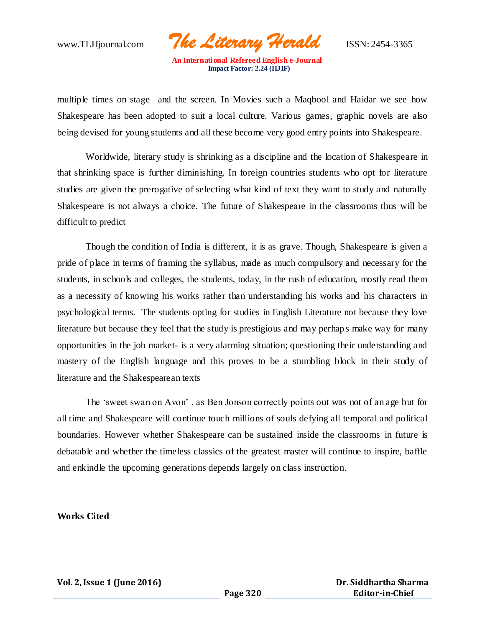www.TLHjournal.com *The Literary Herald*ISSN: 2454-3365

multiple times on stage and the screen. In Movies such a Maqbool and Haidar we see how Shakespeare has been adopted to suit a local culture. Various games, graphic novels are also being devised for young students and all these become very good entry points into Shakespeare.

Worldwide, literary study is shrinking as a discipline and the location of Shakespeare in that shrinking space is further diminishing. In foreign countries students who opt for literature studies are given the prerogative of selecting what kind of text they want to study and naturally Shakespeare is not always a choice. The future of Shakespeare in the classrooms thus will be difficult to predict

Though the condition of India is different, it is as grave. Though, Shakespeare is given a pride of place in terms of framing the syllabus, made as much compulsory and necessary for the students, in schools and colleges, the students, today, in the rush of education, mostly read them as a necessity of knowing his works rather than understanding his works and his characters in psychological terms. The students opting for studies in English Literature not because they love literature but because they feel that the study is prestigious and may perhaps make way for many opportunities in the job market- is a very alarming situation; questioning their understanding and mastery of the English language and this proves to be a stumbling block in their study of literature and the Shakespearean texts

The 'sweet swan on Avon' , as Ben Jonson correctly points out was not of an age but for all time and Shakespeare will continue touch millions of souls defying all temporal and political boundaries. However whether Shakespeare can be sustained inside the classrooms in future is debatable and whether the timeless classics of the greatest master will continue to inspire, baffle and enkindle the upcoming generations depends largely on class instruction.

#### **Works Cited**